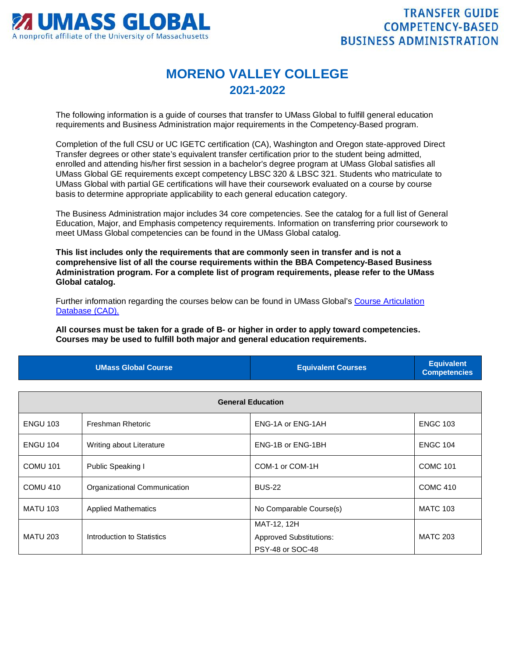

## **MORENO VALLEY COLLEGE 2021-2022**

The following information is a guide of courses that transfer to UMass Global to fulfill general education requirements and Business Administration major requirements in the Competency-Based program.

Completion of the full CSU or UC IGETC certification (CA), Washington and Oregon state-approved Direct Transfer degrees or other state's equivalent transfer certification prior to the student being admitted, enrolled and attending his/her first session in a bachelor's degree program at UMass Global satisfies all UMass Global GE requirements except competency LBSC 320 & LBSC 321. Students who matriculate to UMass Global with partial GE certifications will have their coursework evaluated on a course by course basis to determine appropriate applicability to each general education category.

The Business Administration major includes 34 core competencies. See the catalog for a full list of General Education, Major, and Emphasis competency requirements. Information on transferring prior coursework to meet UMass Global competencies can be found in the UMass Global catalog.

**This list includes only the requirements that are commonly seen in transfer and is not a comprehensive list of all the course requirements within the BBA Competency-Based Business Administration program. For a complete list of program requirements, please refer to the UMass Global catalog.**

Further information regarding the courses below can be found in UMass Global's [Course Articulation](http://services.umassglobal.edu/studentservices/TransferCredit/)  [Database \(CAD\).](http://services.umassglobal.edu/studentservices/TransferCredit/) 

**All courses must be taken for a grade of B- or higher in order to apply toward competencies. Courses may be used to fulfill both major and general education requirements.** 

| <b>UMass Global Course</b> | <b>Equivalent Courses</b> | <b>Equivalent</b><br><b>Competencies</b> |
|----------------------------|---------------------------|------------------------------------------|
|                            |                           |                                          |

| <b>General Education</b> |                              |                                               |                 |
|--------------------------|------------------------------|-----------------------------------------------|-----------------|
| <b>ENGU 103</b>          | Freshman Rhetoric            | ENG-1A or ENG-1AH                             | <b>ENGC 103</b> |
| <b>ENGU 104</b>          | Writing about Literature     | ENG-1B or ENG-1BH                             | <b>ENGC 104</b> |
| <b>COMU 101</b>          | Public Speaking I            | COM-1 or COM-1H                               | <b>COMC 101</b> |
| COMU 410                 | Organizational Communication | <b>BUS-22</b>                                 | <b>COMC 410</b> |
| <b>MATU 103</b>          | <b>Applied Mathematics</b>   | No Comparable Course(s)                       | <b>MATC 103</b> |
| <b>MATU 203</b>          | Introduction to Statistics   | MAT-12, 12H<br><b>Approved Substitutions:</b> | <b>MATC 203</b> |
|                          |                              | PSY-48 or SOC-48                              |                 |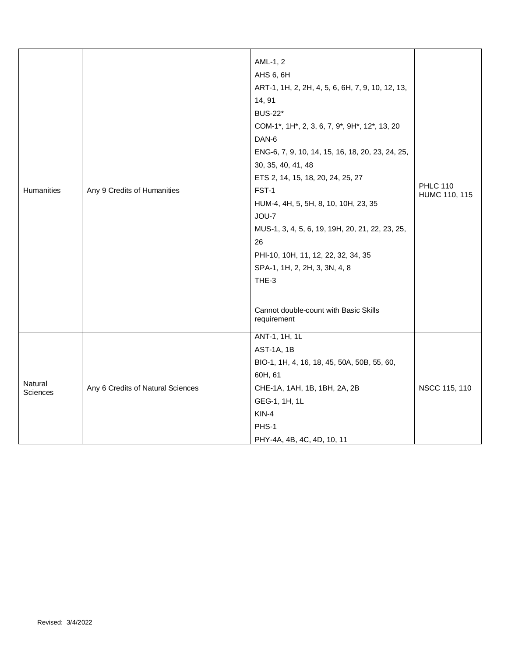|                     |                                   | AML-1, 2                                         |                                  |
|---------------------|-----------------------------------|--------------------------------------------------|----------------------------------|
|                     |                                   | AHS 6, 6H                                        |                                  |
|                     |                                   | ART-1, 1H, 2, 2H, 4, 5, 6, 6H, 7, 9, 10, 12, 13, |                                  |
|                     |                                   | 14, 91                                           |                                  |
|                     |                                   | <b>BUS-22*</b>                                   |                                  |
|                     |                                   | COM-1*, 1H*, 2, 3, 6, 7, 9*, 9H*, 12*, 13, 20    |                                  |
|                     |                                   | DAN-6                                            |                                  |
|                     |                                   | ENG-6, 7, 9, 10, 14, 15, 16, 18, 20, 23, 24, 25, |                                  |
|                     |                                   | 30, 35, 40, 41, 48                               |                                  |
|                     |                                   | ETS 2, 14, 15, 18, 20, 24, 25, 27                |                                  |
| Humanities          | Any 9 Credits of Humanities       | FST-1                                            | <b>PHLC 110</b><br>HUMC 110, 115 |
|                     |                                   | HUM-4, 4H, 5, 5H, 8, 10, 10H, 23, 35             |                                  |
|                     |                                   | JOU-7                                            |                                  |
|                     |                                   | MUS-1, 3, 4, 5, 6, 19, 19H, 20, 21, 22, 23, 25,  |                                  |
|                     |                                   | 26                                               |                                  |
|                     |                                   | PHI-10, 10H, 11, 12, 22, 32, 34, 35              |                                  |
|                     |                                   | SPA-1, 1H, 2, 2H, 3, 3N, 4, 8                    |                                  |
|                     |                                   | THE-3                                            |                                  |
|                     |                                   |                                                  |                                  |
|                     |                                   | Cannot double-count with Basic Skills            |                                  |
|                     |                                   | requirement                                      |                                  |
|                     |                                   | ANT-1, 1H, 1L                                    |                                  |
|                     | Any 6 Credits of Natural Sciences | AST-1A, 1B                                       |                                  |
|                     |                                   | BIO-1, 1H, 4, 16, 18, 45, 50A, 50B, 55, 60,      |                                  |
| Natural<br>Sciences |                                   | 60H, 61                                          |                                  |
|                     |                                   | CHE-1A, 1AH, 1B, 1BH, 2A, 2B                     | NSCC 115, 110                    |
|                     |                                   | GEG-1, 1H, 1L                                    |                                  |
|                     |                                   | $KIN-4$                                          |                                  |
|                     |                                   | PHS-1                                            |                                  |
|                     |                                   | PHY-4A, 4B, 4C, 4D, 10, 11                       |                                  |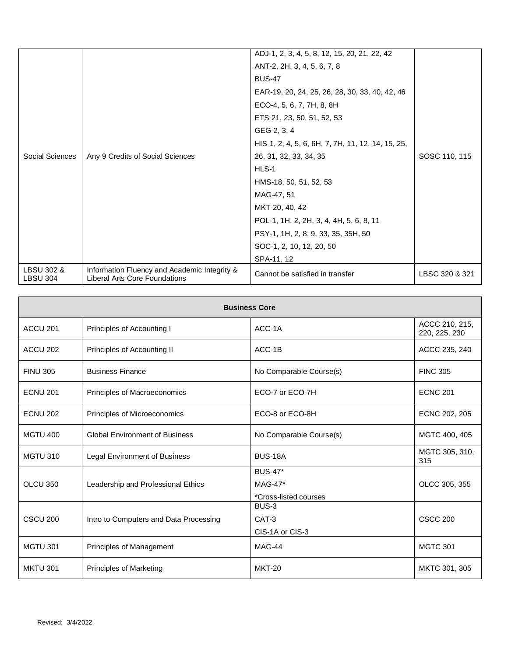|                               |                                                                               | ADJ-1, 2, 3, 4, 5, 8, 12, 15, 20, 21, 22, 42      |                |
|-------------------------------|-------------------------------------------------------------------------------|---------------------------------------------------|----------------|
|                               |                                                                               | ANT-2, 2H, 3, 4, 5, 6, 7, 8                       |                |
|                               |                                                                               | <b>BUS-47</b>                                     |                |
|                               |                                                                               | EAR-19, 20, 24, 25, 26, 28, 30, 33, 40, 42, 46    |                |
|                               |                                                                               | ECO-4, 5, 6, 7, 7H, 8, 8H                         |                |
|                               |                                                                               | ETS 21, 23, 50, 51, 52, 53                        |                |
|                               |                                                                               | GEG-2, 3, 4                                       |                |
|                               |                                                                               | HIS-1, 2, 4, 5, 6, 6H, 7, 7H, 11, 12, 14, 15, 25, |                |
| Social Sciences               | Any 9 Credits of Social Sciences                                              | 26, 31, 32, 33, 34, 35                            | SOSC 110, 115  |
|                               |                                                                               | HLS-1                                             |                |
|                               |                                                                               | HMS-18, 50, 51, 52, 53                            |                |
|                               |                                                                               | MAG-47, 51                                        |                |
|                               |                                                                               | MKT-20, 40, 42                                    |                |
|                               |                                                                               | POL-1, 1H, 2, 2H, 3, 4, 4H, 5, 6, 8, 11           |                |
|                               |                                                                               | PSY-1, 1H, 2, 8, 9, 33, 35, 35H, 50               |                |
|                               |                                                                               | SOC-1, 2, 10, 12, 20, 50                          |                |
|                               |                                                                               | SPA-11, 12                                        |                |
| LBSU 302 &<br><b>LBSU 304</b> | Information Fluency and Academic Integrity &<br>Liberal Arts Core Foundations | Cannot be satisfied in transfer                   | LBSC 320 & 321 |

| <b>Business Core</b> |                                        |                                |                                 |
|----------------------|----------------------------------------|--------------------------------|---------------------------------|
| ACCU <sub>201</sub>  | Principles of Accounting I             | ACC-1A                         | ACCC 210, 215,<br>220, 225, 230 |
| ACCU 202             | Principles of Accounting II            | ACC-1B                         | ACCC 235, 240                   |
| <b>FINU 305</b>      | <b>Business Finance</b>                | No Comparable Course(s)        | <b>FINC 305</b>                 |
| <b>ECNU 201</b>      | Principles of Macroeconomics           | ECO-7 or ECO-7H                | <b>ECNC 201</b>                 |
| <b>ECNU 202</b>      | Principles of Microeconomics           | ECO-8 or ECO-8H                | ECNC 202, 205                   |
| <b>MGTU 400</b>      | <b>Global Environment of Business</b>  | No Comparable Course(s)        | MGTC 400, 405                   |
| <b>MGTU 310</b>      | Legal Environment of Business          | <b>BUS-18A</b>                 | MGTC 305, 310,<br>315           |
|                      |                                        | <b>BUS-47*</b>                 |                                 |
| OLCU 350             | Leadership and Professional Ethics     | MAG-47*                        | OLCC 305, 355                   |
|                      |                                        | *Cross-listed courses<br>BUS-3 |                                 |
| CSCU <sub>200</sub>  | Intro to Computers and Data Processing | CAT-3                          | <b>CSCC 200</b>                 |
|                      |                                        | CIS-1A or CIS-3                |                                 |
|                      |                                        |                                |                                 |
| <b>MGTU 301</b>      | Principles of Management               | MAG-44                         | <b>MGTC 301</b>                 |
| <b>MKTU 301</b>      | Principles of Marketing                | <b>MKT-20</b>                  | MKTC 301, 305                   |